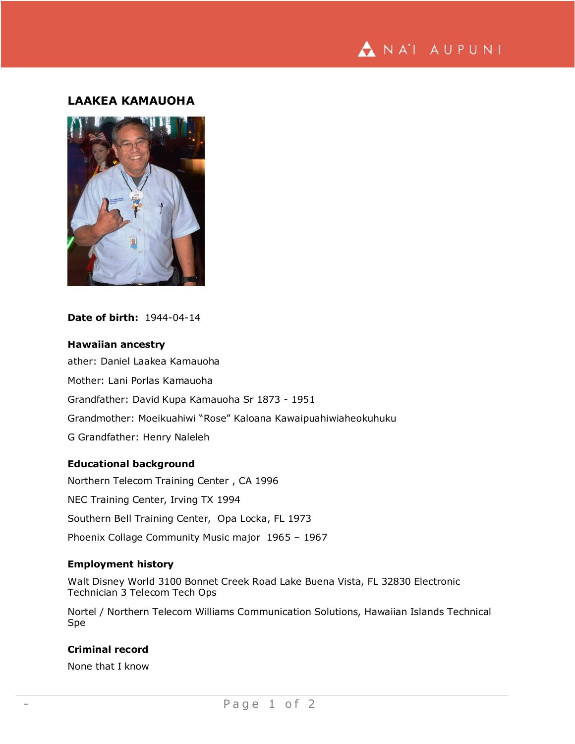

# **LAAKEA KAMAUOHA**



## **Date of birth:** 1944-04-14

## **Hawaiian ancestry**

ather: Daniel Laakea Kamauoha Mother: Lani Porlas Kamauoha Grandfather: David Kupa Kamauoha Sr 1873 - 1951 Grandmother: Moeikuahiwi "Rose" Kaloana Kawaipuahiwiaheokuhuku G Grandfather: Henry Naleleh

#### **Educational background**

Northern Telecom Training Center , CA 1996 NEC Training Center, Irving TX 1994 Southern Bell Training Center, Opa Locka, FL 1973 Phoenix Collage Community Music major 1965 – 1967

## **Employment history**

Walt Disney World 3100 Bonnet Creek Road Lake Buena Vista, FL 32830 Electronic Technician 3 Telecom Tech Ops

Nortel / Northern Telecom Williams Communication Solutions, Hawaiian Islands Technical Spe

#### **Criminal record**

None that I know